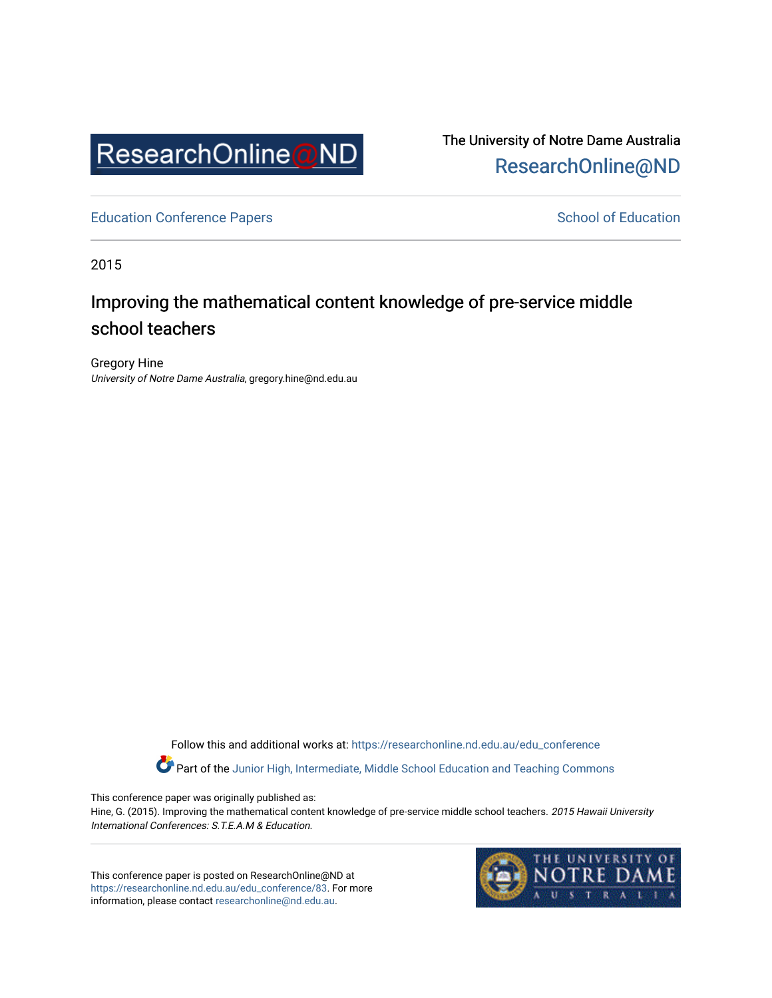

The University of Notre Dame Australia [ResearchOnline@ND](https://researchonline.nd.edu.au/) 

[Education Conference Papers](https://researchonline.nd.edu.au/edu_conference) **School of Education** School of Education

2015

# Improving the mathematical content knowledge of pre-service middle school teachers

Gregory Hine University of Notre Dame Australia, gregory.hine@nd.edu.au

> Follow this and additional works at: [https://researchonline.nd.edu.au/edu\\_conference](https://researchonline.nd.edu.au/edu_conference?utm_source=researchonline.nd.edu.au%2Fedu_conference%2F83&utm_medium=PDF&utm_campaign=PDFCoverPages) Part of the [Junior High, Intermediate, Middle School Education and Teaching Commons](http://network.bepress.com/hgg/discipline/807?utm_source=researchonline.nd.edu.au%2Fedu_conference%2F83&utm_medium=PDF&utm_campaign=PDFCoverPages)

This conference paper was originally published as:

Hine, G. (2015). Improving the mathematical content knowledge of pre-service middle school teachers. 2015 Hawaii University International Conferences: S.T.E.A.M & Education.

This conference paper is posted on ResearchOnline@ND at [https://researchonline.nd.edu.au/edu\\_conference/83.](https://researchonline.nd.edu.au/edu_conference/83) For more information, please contact [researchonline@nd.edu.au.](mailto:researchonline@nd.edu.au)

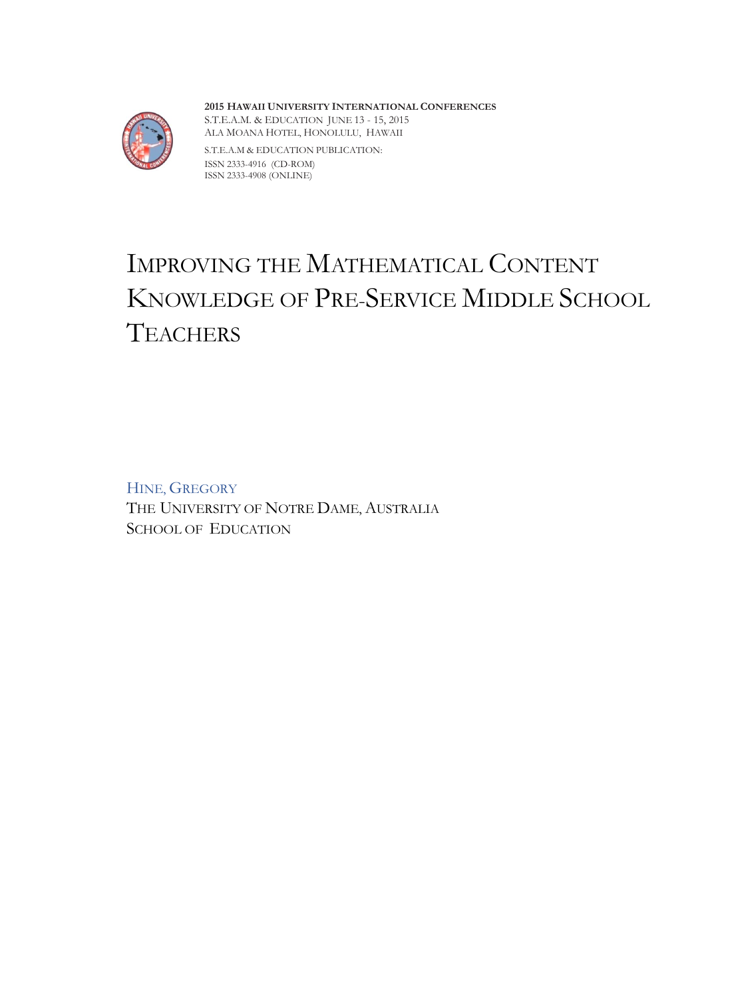

**2015 HAWAII UNIVERSITY INTERNATIONAL CONFERENCES**  S.T.E.A.M. & EDUCATION JUNE 13 - 15, 2015 ALA MOANA HOTEL, HONOLULU, HAWAII

S.T.E.A.M & EDUCATION PUBLICATION: ISSN 2333-4916 (CD-ROM) ISSN 2333-4908 (ONLINE)

# IMPROVING THE MATHEMATICAL CONTENT KNOWLEDGE OF PRE-SERVICE MIDDLE SCHOOL **TEACHERS**

HINE, GREGORY THE UNIVERSITY OF NOTRE DAME, AUSTRALIA SCHOOL OF EDUCATION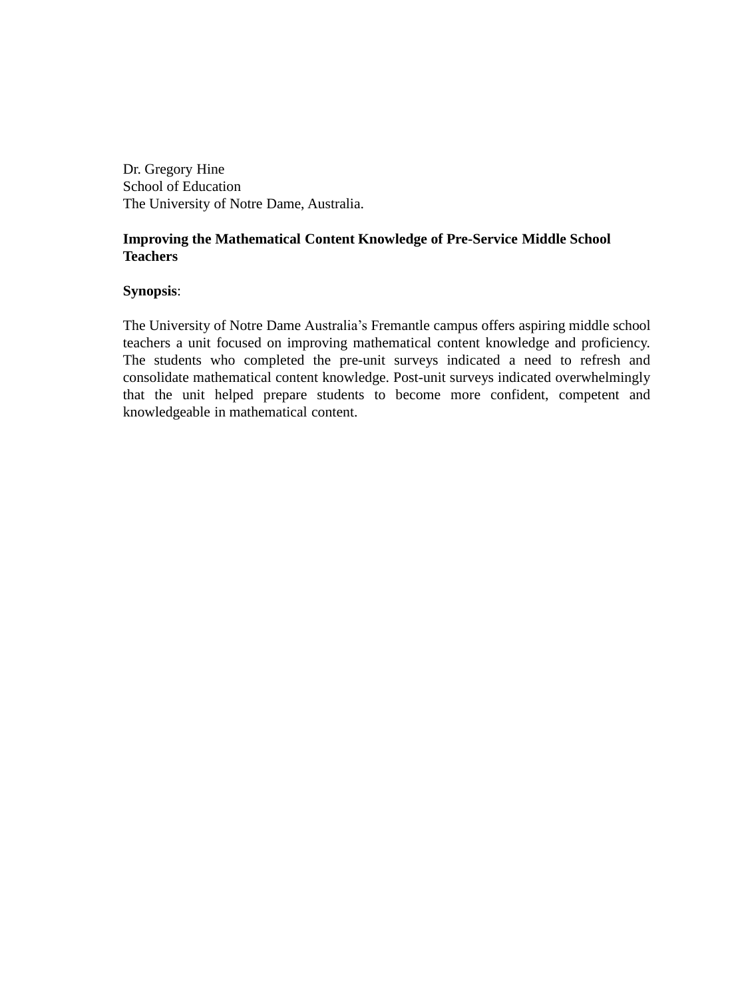Dr. Gregory Hine School of Education The University of Notre Dame, Australia.

# **Improving the Mathematical Content Knowledge of Pre-Service Middle School Teachers**

# **Synopsis**:

The University of Notre Dame Australia's Fremantle campus offers aspiring middle school teachers a unit focused on improving mathematical content knowledge and proficiency. The students who completed the pre-unit surveys indicated a need to refresh and consolidate mathematical content knowledge. Post-unit surveys indicated overwhelmingly that the unit helped prepare students to become more confident, competent and knowledgeable in mathematical content.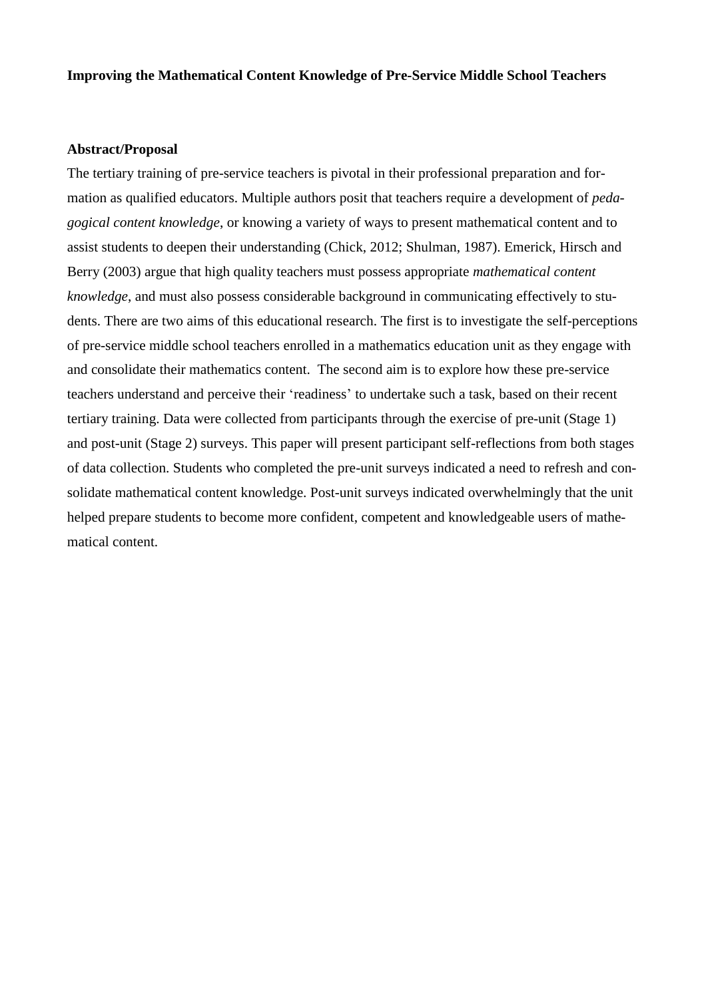# **Improving the Mathematical Content Knowledge of Pre-Service Middle School Teachers**

# **Abstract/Proposal**

The tertiary training of pre-service teachers is pivotal in their professional preparation and formation as qualified educators. Multiple authors posit that teachers require a development of *pedagogical content knowledge*, or knowing a variety of ways to present mathematical content and to assist students to deepen their understanding (Chick, 2012; Shulman, 1987). Emerick, Hirsch and Berry (2003) argue that high quality teachers must possess appropriate *mathematical content knowledge*, and must also possess considerable background in communicating effectively to students. There are two aims of this educational research. The first is to investigate the self-perceptions of pre-service middle school teachers enrolled in a mathematics education unit as they engage with and consolidate their mathematics content. The second aim is to explore how these pre-service teachers understand and perceive their 'readiness' to undertake such a task, based on their recent tertiary training. Data were collected from participants through the exercise of pre-unit (Stage 1) and post-unit (Stage 2) surveys. This paper will present participant self-reflections from both stages of data collection. Students who completed the pre-unit surveys indicated a need to refresh and consolidate mathematical content knowledge. Post-unit surveys indicated overwhelmingly that the unit helped prepare students to become more confident, competent and knowledgeable users of mathematical content.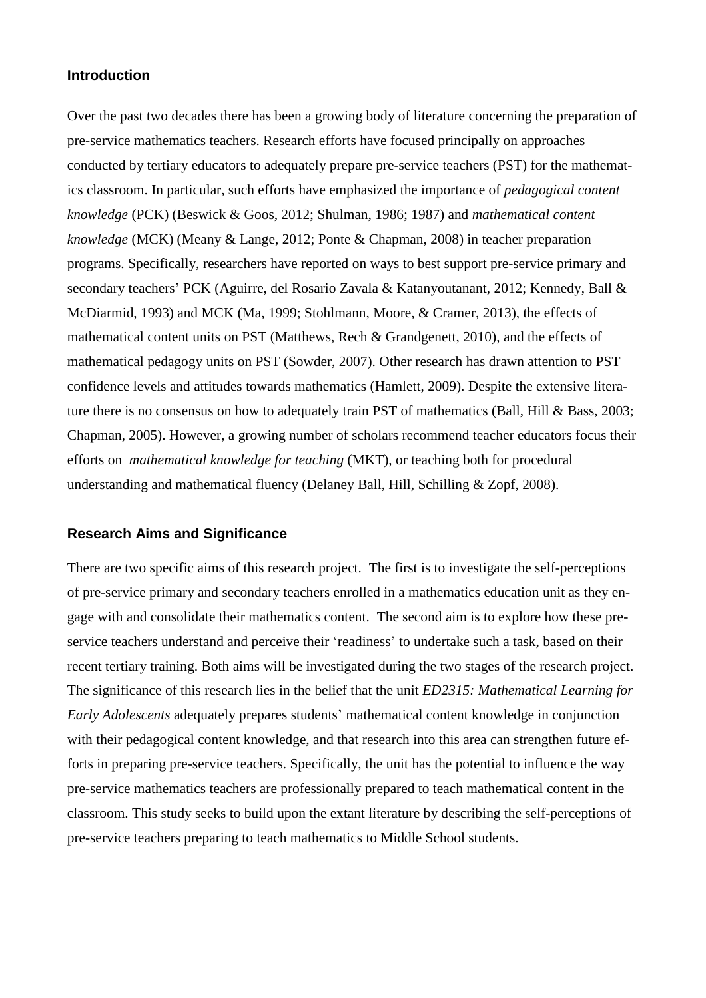# **Introduction**

Over the past two decades there has been a growing body of literature concerning the preparation of pre-service mathematics teachers. Research efforts have focused principally on approaches conducted by tertiary educators to adequately prepare pre-service teachers (PST) for the mathematics classroom. In particular, such efforts have emphasized the importance of *pedagogical content knowledge* (PCK) (Beswick & Goos, 2012; Shulman, 1986; 1987) and *mathematical content knowledge* (MCK) (Meany & Lange, 2012; Ponte & Chapman, 2008) in teacher preparation programs. Specifically, researchers have reported on ways to best support pre-service primary and secondary teachers' PCK (Aguirre, del Rosario Zavala & Katanyoutanant, 2012; Kennedy, Ball & McDiarmid, 1993) and MCK (Ma, 1999; Stohlmann, Moore, & Cramer, 2013), the effects of mathematical content units on PST (Matthews, Rech & Grandgenett, 2010), and the effects of mathematical pedagogy units on PST (Sowder, 2007). Other research has drawn attention to PST confidence levels and attitudes towards mathematics (Hamlett, 2009). Despite the extensive literature there is no consensus on how to adequately train PST of mathematics (Ball, Hill & Bass, 2003; Chapman, 2005). However, a growing number of scholars recommend teacher educators focus their efforts on *mathematical knowledge for teaching* (MKT), or teaching both for procedural understanding and mathematical fluency (Delaney Ball, Hill, Schilling & Zopf, 2008).

# **Research Aims and Significance**

There are two specific aims of this research project. The first is to investigate the self-perceptions of pre-service primary and secondary teachers enrolled in a mathematics education unit as they engage with and consolidate their mathematics content. The second aim is to explore how these preservice teachers understand and perceive their 'readiness' to undertake such a task, based on their recent tertiary training. Both aims will be investigated during the two stages of the research project. The significance of this research lies in the belief that the unit *ED2315: Mathematical Learning for Early Adolescents* adequately prepares students' mathematical content knowledge in conjunction with their pedagogical content knowledge, and that research into this area can strengthen future efforts in preparing pre-service teachers. Specifically, the unit has the potential to influence the way pre-service mathematics teachers are professionally prepared to teach mathematical content in the classroom. This study seeks to build upon the extant literature by describing the self-perceptions of pre-service teachers preparing to teach mathematics to Middle School students.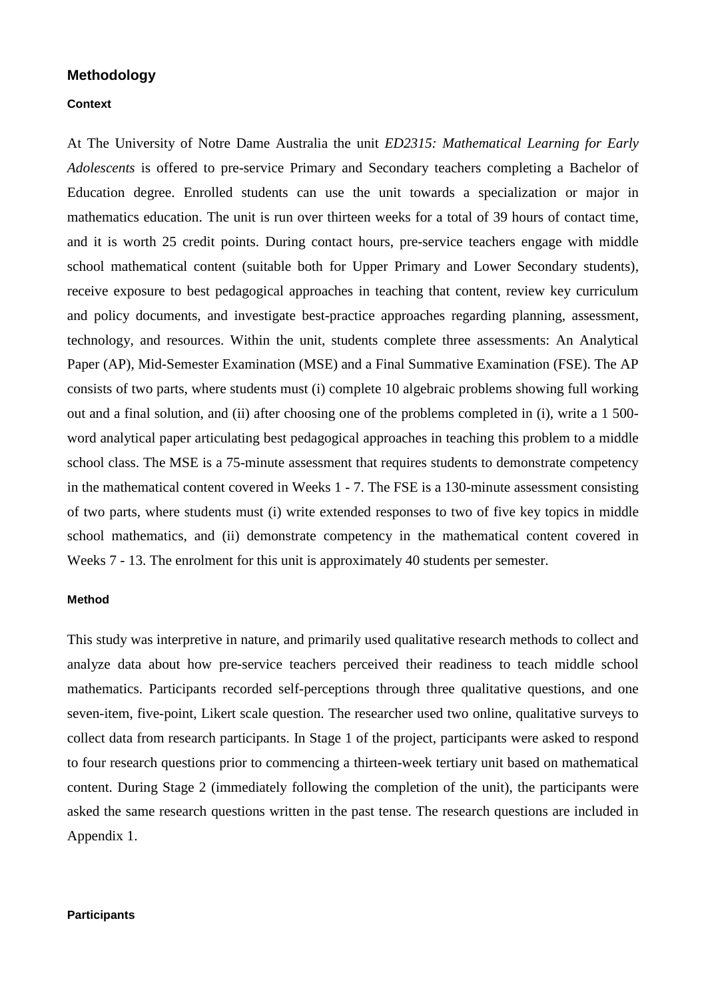# **Methodology**

#### **Context**

At The University of Notre Dame Australia the unit *ED2315: Mathematical Learning for Early Adolescents* is offered to pre-service Primary and Secondary teachers completing a Bachelor of Education degree. Enrolled students can use the unit towards a specialization or major in mathematics education. The unit is run over thirteen weeks for a total of 39 hours of contact time, and it is worth 25 credit points. During contact hours, pre-service teachers engage with middle school mathematical content (suitable both for Upper Primary and Lower Secondary students), receive exposure to best pedagogical approaches in teaching that content, review key curriculum and policy documents, and investigate best-practice approaches regarding planning, assessment, technology, and resources. Within the unit, students complete three assessments: An Analytical Paper (AP), Mid-Semester Examination (MSE) and a Final Summative Examination (FSE). The AP consists of two parts, where students must (i) complete 10 algebraic problems showing full working out and a final solution, and (ii) after choosing one of the problems completed in (i), write a 1 500 word analytical paper articulating best pedagogical approaches in teaching this problem to a middle school class. The MSE is a 75-minute assessment that requires students to demonstrate competency in the mathematical content covered in Weeks 1 - 7. The FSE is a 130-minute assessment consisting of two parts, where students must (i) write extended responses to two of five key topics in middle school mathematics, and (ii) demonstrate competency in the mathematical content covered in Weeks 7 - 13. The enrolment for this unit is approximately 40 students per semester.

#### **Method**

This study was interpretive in nature, and primarily used qualitative research methods to collect and analyze data about how pre-service teachers perceived their readiness to teach middle school mathematics. Participants recorded self-perceptions through three qualitative questions, and one seven-item, five-point, Likert scale question. The researcher used two online, qualitative surveys to collect data from research participants. In Stage 1 of the project, participants were asked to respond to four research questions prior to commencing a thirteen-week tertiary unit based on mathematical content. During Stage 2 (immediately following the completion of the unit), the participants were asked the same research questions written in the past tense. The research questions are included in Appendix 1.

#### **Participants**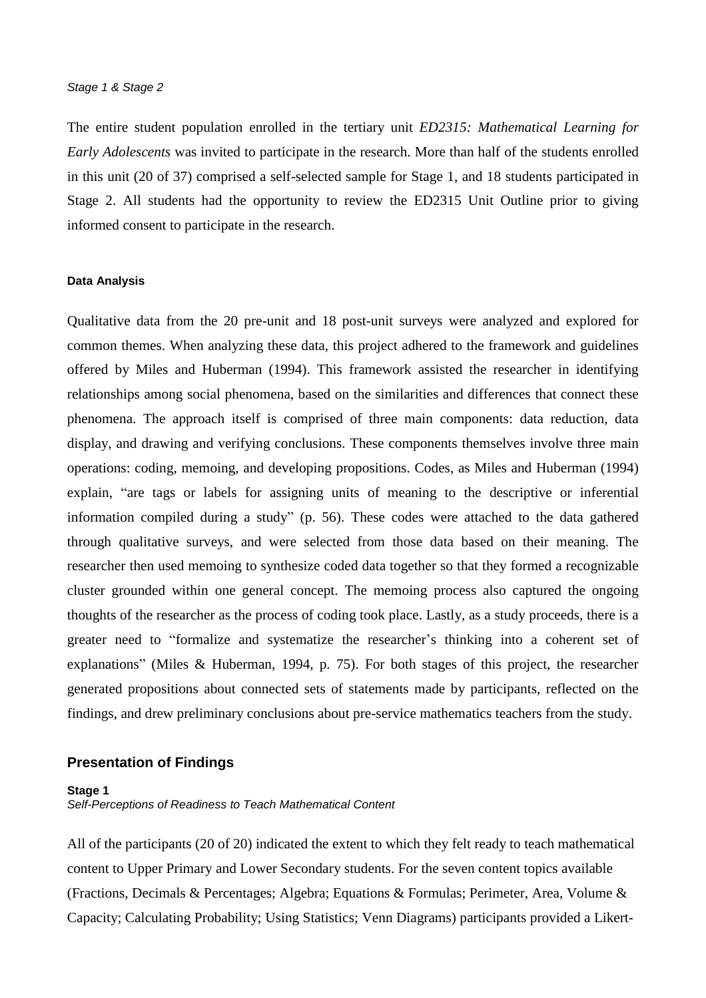The entire student population enrolled in the tertiary unit *ED2315: Mathematical Learning for Early Adolescents* was invited to participate in the research. More than half of the students enrolled in this unit (20 of 37) comprised a self-selected sample for Stage 1, and 18 students participated in Stage 2. All students had the opportunity to review the ED2315 Unit Outline prior to giving informed consent to participate in the research.

#### **Data Analysis**

Qualitative data from the 20 pre-unit and 18 post-unit surveys were analyzed and explored for common themes. When analyzing these data, this project adhered to the framework and guidelines offered by Miles and Huberman (1994). This framework assisted the researcher in identifying relationships among social phenomena, based on the similarities and differences that connect these phenomena. The approach itself is comprised of three main components: data reduction, data display, and drawing and verifying conclusions. These components themselves involve three main operations: coding, memoing, and developing propositions. Codes, as Miles and Huberman (1994) explain, "are tags or labels for assigning units of meaning to the descriptive or inferential information compiled during a study" (p. 56). These codes were attached to the data gathered through qualitative surveys, and were selected from those data based on their meaning. The researcher then used memoing to synthesize coded data together so that they formed a recognizable cluster grounded within one general concept. The memoing process also captured the ongoing thoughts of the researcher as the process of coding took place. Lastly, as a study proceeds, there is a greater need to "formalize and systematize the researcher's thinking into a coherent set of explanations" (Miles & Huberman, 1994, p. 75). For both stages of this project, the researcher generated propositions about connected sets of statements made by participants, reflected on the findings, and drew preliminary conclusions about pre-service mathematics teachers from the study.

#### **Presentation of Findings**

#### **Stage 1**

*Self-Perceptions of Readiness to Teach Mathematical Content*

All of the participants (20 of 20) indicated the extent to which they felt ready to teach mathematical content to Upper Primary and Lower Secondary students. For the seven content topics available (Fractions, Decimals & Percentages; Algebra; Equations & Formulas; Perimeter, Area, Volume & Capacity; Calculating Probability; Using Statistics; Venn Diagrams) participants provided a Likert-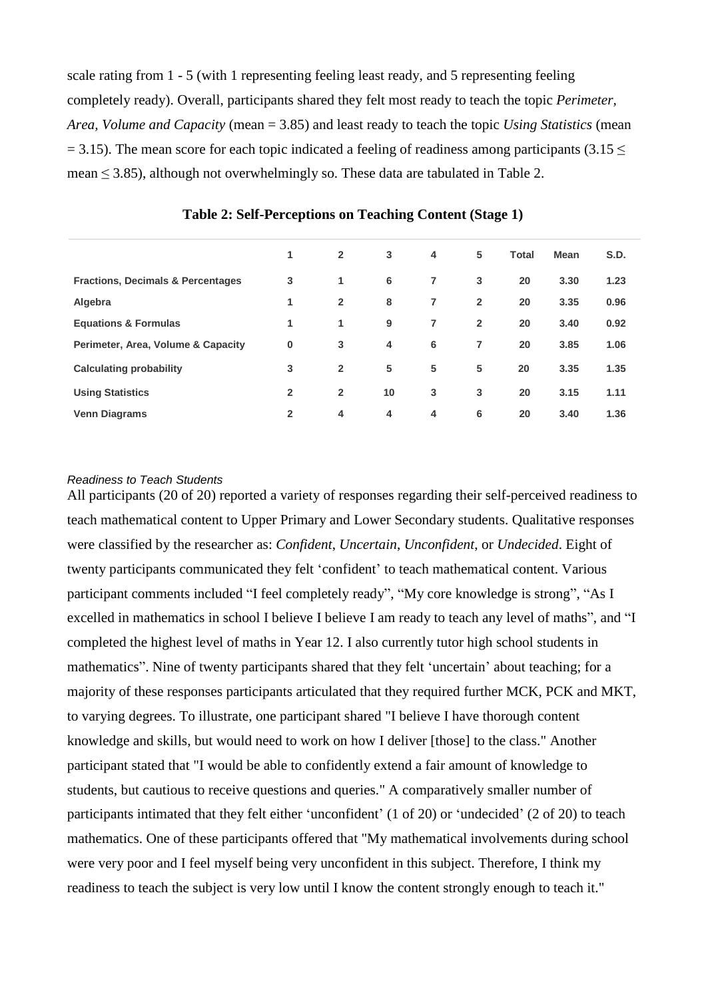scale rating from 1 - 5 (with 1 representing feeling least ready, and 5 representing feeling completely ready). Overall, participants shared they felt most ready to teach the topic *Perimeter, Area, Volume and Capacity* (mean = 3.85) and least ready to teach the topic *Using Statistics* (mean  $= 3.15$ ). The mean score for each topic indicated a feeling of readiness among participants (3.15  $\leq$ mean  $\leq$  3.85), although not overwhelmingly so. These data are tabulated in Table 2.

|                                              | 1              | $\overline{2}$ | 3  | 4 | 5              | <b>Total</b> | <b>Mean</b> | S.D. |
|----------------------------------------------|----------------|----------------|----|---|----------------|--------------|-------------|------|
| <b>Fractions, Decimals &amp; Percentages</b> | 3              | 1              | 6  | 7 | 3              | 20           | 3.30        | 1.23 |
| Algebra                                      | 1              | $\overline{2}$ | 8  | 7 | $\overline{2}$ | 20           | 3.35        | 0.96 |
| <b>Equations &amp; Formulas</b>              | 1              | 1              | 9  | 7 | $\overline{2}$ | 20           | 3.40        | 0.92 |
| Perimeter, Area, Volume & Capacity           | $\bf{0}$       | 3              | 4  | 6 | 7              | 20           | 3.85        | 1.06 |
| <b>Calculating probability</b>               | 3              | $\overline{2}$ | 5  | 5 | 5              | 20           | 3.35        | 1.35 |
| <b>Using Statistics</b>                      | $\overline{2}$ | $\overline{2}$ | 10 | 3 | 3              | 20           | 3.15        | 1.11 |
| <b>Venn Diagrams</b>                         | $\overline{2}$ | 4              | 4  | 4 | 6              | 20           | 3.40        | 1.36 |

**Table 2: Self-Perceptions on Teaching Content (Stage 1)**

# *Readiness to Teach Students*

All participants (20 of 20) reported a variety of responses regarding their self-perceived readiness to teach mathematical content to Upper Primary and Lower Secondary students. Qualitative responses were classified by the researcher as: *Confident*, *Uncertain*, *Unconfident*, or *Undecided*. Eight of twenty participants communicated they felt 'confident' to teach mathematical content. Various participant comments included "I feel completely ready", "My core knowledge is strong", "As I excelled in mathematics in school I believe I believe I am ready to teach any level of maths", and "I completed the highest level of maths in Year 12. I also currently tutor high school students in mathematics". Nine of twenty participants shared that they felt 'uncertain' about teaching; for a majority of these responses participants articulated that they required further MCK, PCK and MKT, to varying degrees. To illustrate, one participant shared "I believe I have thorough content knowledge and skills, but would need to work on how I deliver [those] to the class." Another participant stated that "I would be able to confidently extend a fair amount of knowledge to students, but cautious to receive questions and queries." A comparatively smaller number of participants intimated that they felt either 'unconfident' (1 of 20) or 'undecided' (2 of 20) to teach mathematics. One of these participants offered that "My mathematical involvements during school were very poor and I feel myself being very unconfident in this subject. Therefore, I think my readiness to teach the subject is very low until I know the content strongly enough to teach it."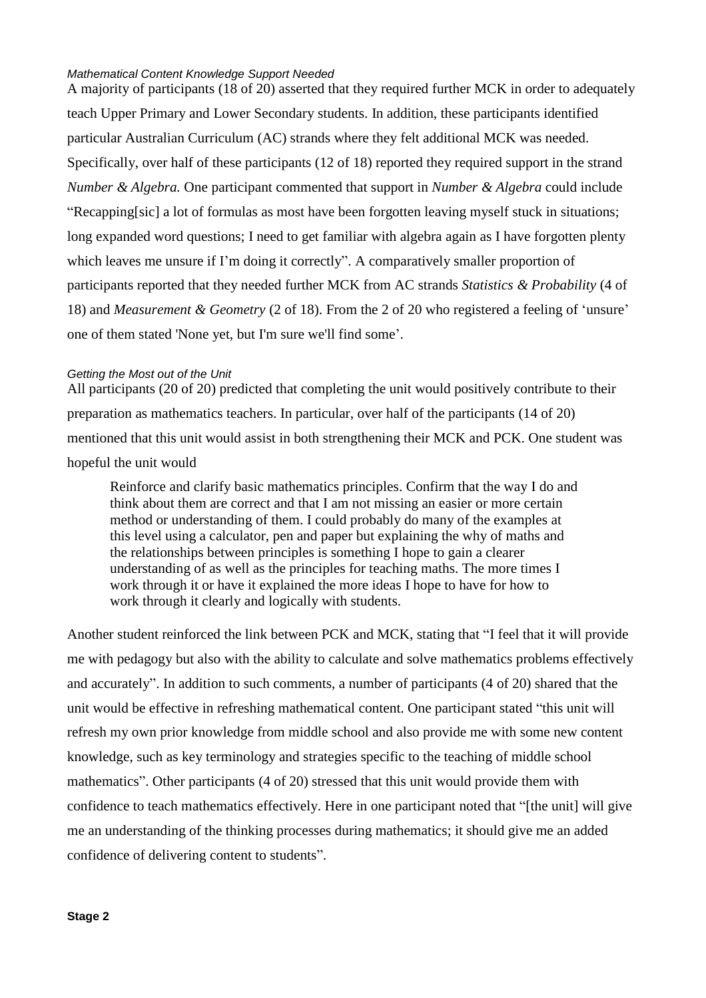#### *Mathematical Content Knowledge Support Needed*

A majority of participants (18 of 20) asserted that they required further MCK in order to adequately teach Upper Primary and Lower Secondary students. In addition, these participants identified particular Australian Curriculum (AC) strands where they felt additional MCK was needed. Specifically, over half of these participants (12 of 18) reported they required support in the strand *Number & Algebra.* One participant commented that support in *Number & Algebra* could include "Recapping[sic] a lot of formulas as most have been forgotten leaving myself stuck in situations; long expanded word questions; I need to get familiar with algebra again as I have forgotten plenty which leaves me unsure if I'm doing it correctly". A comparatively smaller proportion of participants reported that they needed further MCK from AC strands *Statistics & Probability* (4 of 18) and *Measurement & Geometry* (2 of 18). From the 2 of 20 who registered a feeling of 'unsure' one of them stated 'None yet, but I'm sure we'll find some'.

# *Getting the Most out of the Unit*

All participants (20 of 20) predicted that completing the unit would positively contribute to their preparation as mathematics teachers. In particular, over half of the participants (14 of 20) mentioned that this unit would assist in both strengthening their MCK and PCK. One student was hopeful the unit would

Reinforce and clarify basic mathematics principles. Confirm that the way I do and think about them are correct and that I am not missing an easier or more certain method or understanding of them. I could probably do many of the examples at this level using a calculator, pen and paper but explaining the why of maths and the relationships between principles is something I hope to gain a clearer understanding of as well as the principles for teaching maths. The more times I work through it or have it explained the more ideas I hope to have for how to work through it clearly and logically with students.

Another student reinforced the link between PCK and MCK, stating that "I feel that it will provide me with pedagogy but also with the ability to calculate and solve mathematics problems effectively and accurately". In addition to such comments, a number of participants (4 of 20) shared that the unit would be effective in refreshing mathematical content. One participant stated "this unit will refresh my own prior knowledge from middle school and also provide me with some new content knowledge, such as key terminology and strategies specific to the teaching of middle school mathematics". Other participants (4 of 20) stressed that this unit would provide them with confidence to teach mathematics effectively. Here in one participant noted that "[the unit] will give me an understanding of the thinking processes during mathematics; it should give me an added confidence of delivering content to students".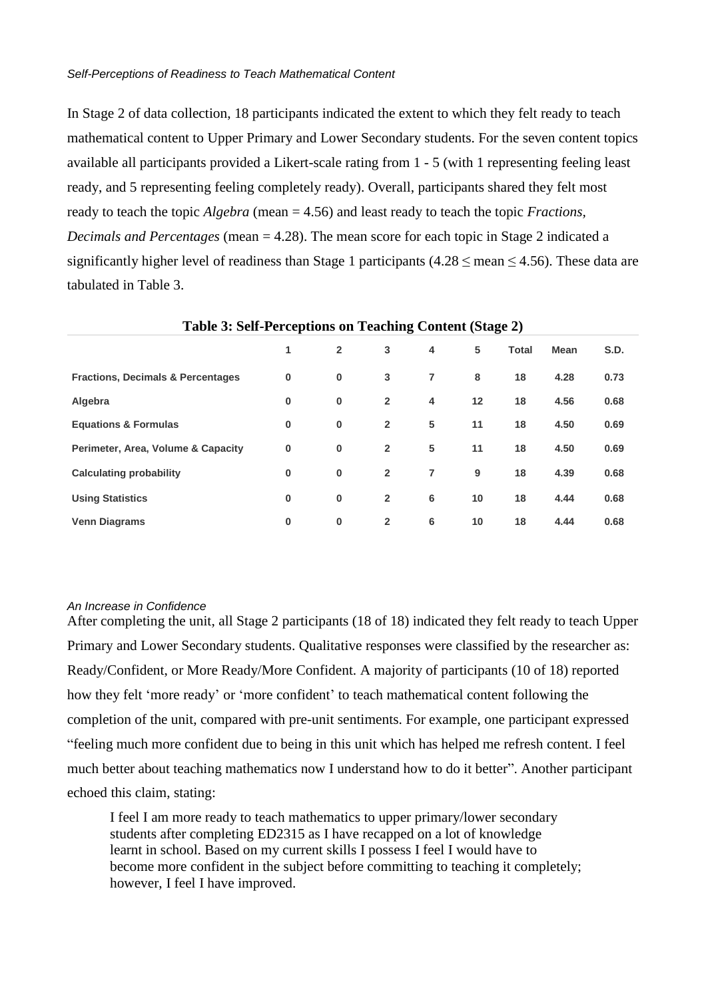In Stage 2 of data collection, 18 participants indicated the extent to which they felt ready to teach mathematical content to Upper Primary and Lower Secondary students. For the seven content topics available all participants provided a Likert-scale rating from 1 - 5 (with 1 representing feeling least ready, and 5 representing feeling completely ready). Overall, participants shared they felt most ready to teach the topic *Algebra* (mean = 4.56) and least ready to teach the topic *Fractions, Decimals and Percentages* (mean = 4.28). The mean score for each topic in Stage 2 indicated a significantly higher level of readiness than Stage 1 participants (4.28  $\leq$  mean  $\leq$  4.56). These data are tabulated in Table 3.

|                                              | д.<br>o  |                |                |   | o  |              |             |             |
|----------------------------------------------|----------|----------------|----------------|---|----|--------------|-------------|-------------|
|                                              | 1        | $\overline{2}$ | 3              | 4 | 5  | <b>Total</b> | <b>Mean</b> | <b>S.D.</b> |
| <b>Fractions, Decimals &amp; Percentages</b> | $\bf{0}$ | $\bf{0}$       | 3              | 7 | 8  | 18           | 4.28        | 0.73        |
| Algebra                                      | $\bf{0}$ | $\bf{0}$       | $\overline{2}$ | 4 | 12 | 18           | 4.56        | 0.68        |
| <b>Equations &amp; Formulas</b>              | $\bf{0}$ | $\bf{0}$       | $\overline{2}$ | 5 | 11 | 18           | 4.50        | 0.69        |
| Perimeter, Area, Volume & Capacity           | $\bf{0}$ | $\bf{0}$       | $\overline{2}$ | 5 | 11 | 18           | 4.50        | 0.69        |
| <b>Calculating probability</b>               | $\bf{0}$ | $\bf{0}$       | $\overline{2}$ | 7 | 9  | 18           | 4.39        | 0.68        |
| <b>Using Statistics</b>                      | 0        | $\bf{0}$       | $\overline{2}$ | 6 | 10 | 18           | 4.44        | 0.68        |
| <b>Venn Diagrams</b>                         | $\bf{0}$ | $\bf{0}$       | $\overline{2}$ | 6 | 10 | 18           | 4.44        | 0.68        |

#### **Table 3: Self-Perceptions on Teaching Content (Stage 2)**

# *An Increase in Confidence*

After completing the unit, all Stage 2 participants (18 of 18) indicated they felt ready to teach Upper Primary and Lower Secondary students. Qualitative responses were classified by the researcher as: Ready/Confident, or More Ready/More Confident. A majority of participants (10 of 18) reported how they felt 'more ready' or 'more confident' to teach mathematical content following the completion of the unit, compared with pre-unit sentiments. For example, one participant expressed "feeling much more confident due to being in this unit which has helped me refresh content. I feel much better about teaching mathematics now I understand how to do it better". Another participant echoed this claim, stating:

I feel I am more ready to teach mathematics to upper primary/lower secondary students after completing ED2315 as I have recapped on a lot of knowledge learnt in school. Based on my current skills I possess I feel I would have to become more confident in the subject before committing to teaching it completely; however, I feel I have improved.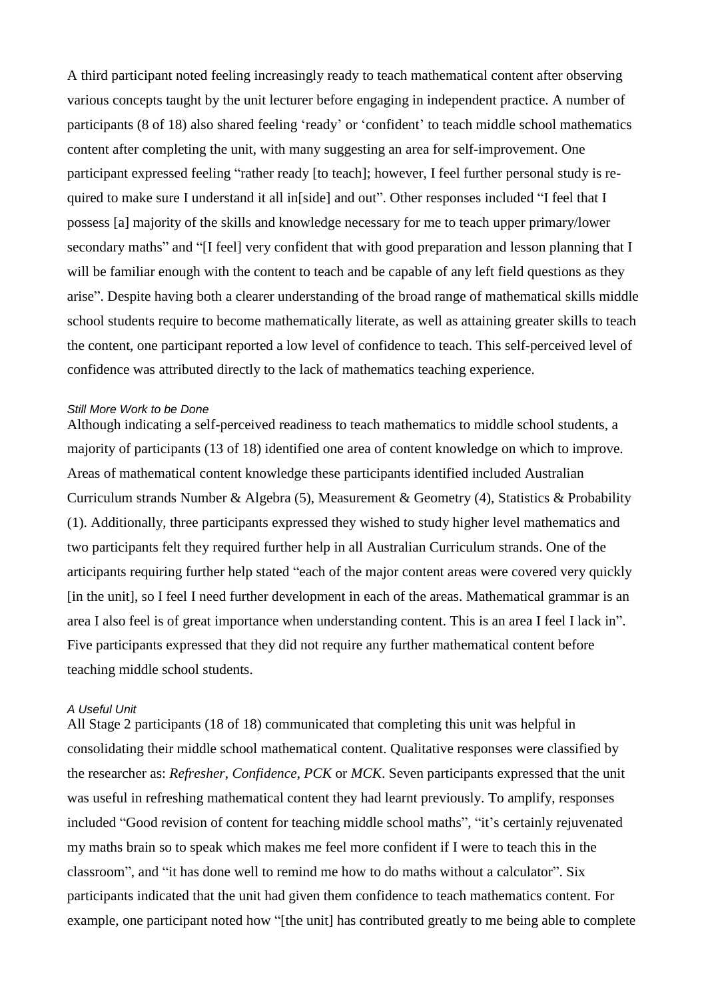A third participant noted feeling increasingly ready to teach mathematical content after observing various concepts taught by the unit lecturer before engaging in independent practice. A number of participants (8 of 18) also shared feeling 'ready' or 'confident' to teach middle school mathematics content after completing the unit, with many suggesting an area for self-improvement. One participant expressed feeling "rather ready [to teach]; however, I feel further personal study is required to make sure I understand it all in[side] and out". Other responses included "I feel that I possess [a] majority of the skills and knowledge necessary for me to teach upper primary/lower secondary maths" and "[I feel] very confident that with good preparation and lesson planning that I will be familiar enough with the content to teach and be capable of any left field questions as they arise". Despite having both a clearer understanding of the broad range of mathematical skills middle school students require to become mathematically literate, as well as attaining greater skills to teach the content, one participant reported a low level of confidence to teach. This self-perceived level of confidence was attributed directly to the lack of mathematics teaching experience.

#### *Still More Work to be Done*

Although indicating a self-perceived readiness to teach mathematics to middle school students, a majority of participants (13 of 18) identified one area of content knowledge on which to improve. Areas of mathematical content knowledge these participants identified included Australian Curriculum strands Number & Algebra (5), Measurement & Geometry (4), Statistics & Probability (1). Additionally, three participants expressed they wished to study higher level mathematics and two participants felt they required further help in all Australian Curriculum strands. One of the articipants requiring further help stated "each of the major content areas were covered very quickly [in the unit], so I feel I need further development in each of the areas. Mathematical grammar is an area I also feel is of great importance when understanding content. This is an area I feel I lack in". Five participants expressed that they did not require any further mathematical content before teaching middle school students.

#### *A Useful Unit*

All Stage 2 participants (18 of 18) communicated that completing this unit was helpful in consolidating their middle school mathematical content. Qualitative responses were classified by the researcher as: *Refresher*, *Confidence*, *PCK* or *MCK*. Seven participants expressed that the unit was useful in refreshing mathematical content they had learnt previously. To amplify, responses included "Good revision of content for teaching middle school maths", "it's certainly rejuvenated my maths brain so to speak which makes me feel more confident if I were to teach this in the classroom", and "it has done well to remind me how to do maths without a calculator". Six participants indicated that the unit had given them confidence to teach mathematics content. For example, one participant noted how "[the unit] has contributed greatly to me being able to complete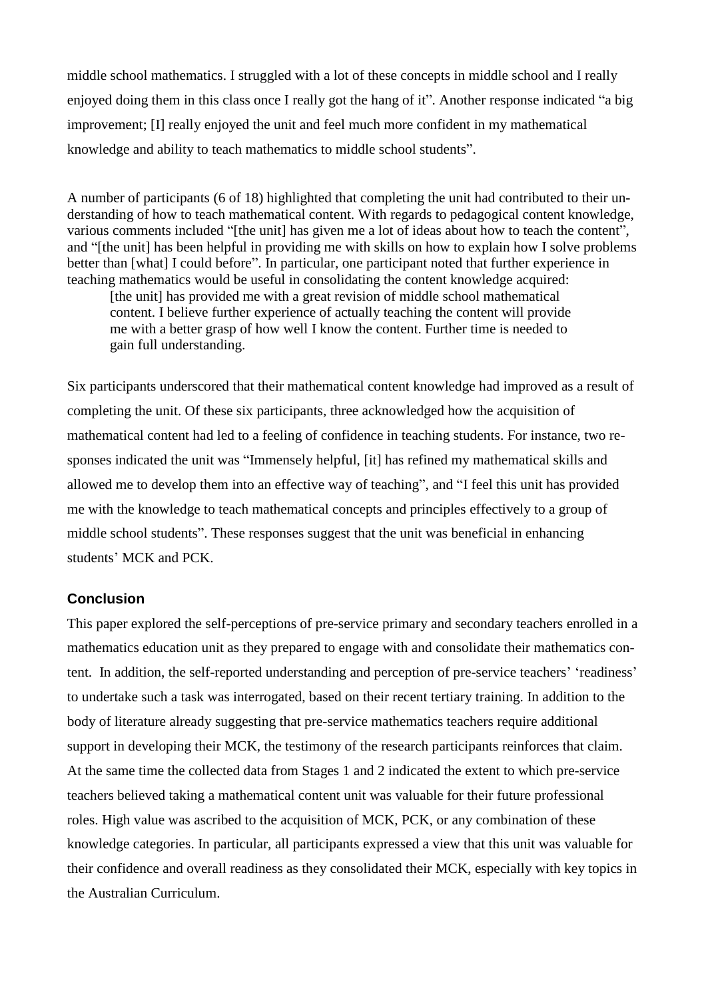middle school mathematics. I struggled with a lot of these concepts in middle school and I really enjoyed doing them in this class once I really got the hang of it". Another response indicated "a big improvement; [I] really enjoyed the unit and feel much more confident in my mathematical knowledge and ability to teach mathematics to middle school students".

A number of participants (6 of 18) highlighted that completing the unit had contributed to their understanding of how to teach mathematical content. With regards to pedagogical content knowledge, various comments included "[the unit] has given me a lot of ideas about how to teach the content", and "[the unit] has been helpful in providing me with skills on how to explain how I solve problems better than [what] I could before". In particular, one participant noted that further experience in teaching mathematics would be useful in consolidating the content knowledge acquired:

[the unit] has provided me with a great revision of middle school mathematical content. I believe further experience of actually teaching the content will provide me with a better grasp of how well I know the content. Further time is needed to gain full understanding.

Six participants underscored that their mathematical content knowledge had improved as a result of completing the unit. Of these six participants, three acknowledged how the acquisition of mathematical content had led to a feeling of confidence in teaching students. For instance, two responses indicated the unit was "Immensely helpful, [it] has refined my mathematical skills and allowed me to develop them into an effective way of teaching", and "I feel this unit has provided me with the knowledge to teach mathematical concepts and principles effectively to a group of middle school students". These responses suggest that the unit was beneficial in enhancing students' MCK and PCK.

# **Conclusion**

This paper explored the self-perceptions of pre-service primary and secondary teachers enrolled in a mathematics education unit as they prepared to engage with and consolidate their mathematics content. In addition, the self-reported understanding and perception of pre-service teachers' 'readiness' to undertake such a task was interrogated, based on their recent tertiary training. In addition to the body of literature already suggesting that pre-service mathematics teachers require additional support in developing their MCK, the testimony of the research participants reinforces that claim. At the same time the collected data from Stages 1 and 2 indicated the extent to which pre-service teachers believed taking a mathematical content unit was valuable for their future professional roles. High value was ascribed to the acquisition of MCK, PCK, or any combination of these knowledge categories. In particular, all participants expressed a view that this unit was valuable for their confidence and overall readiness as they consolidated their MCK, especially with key topics in the Australian Curriculum.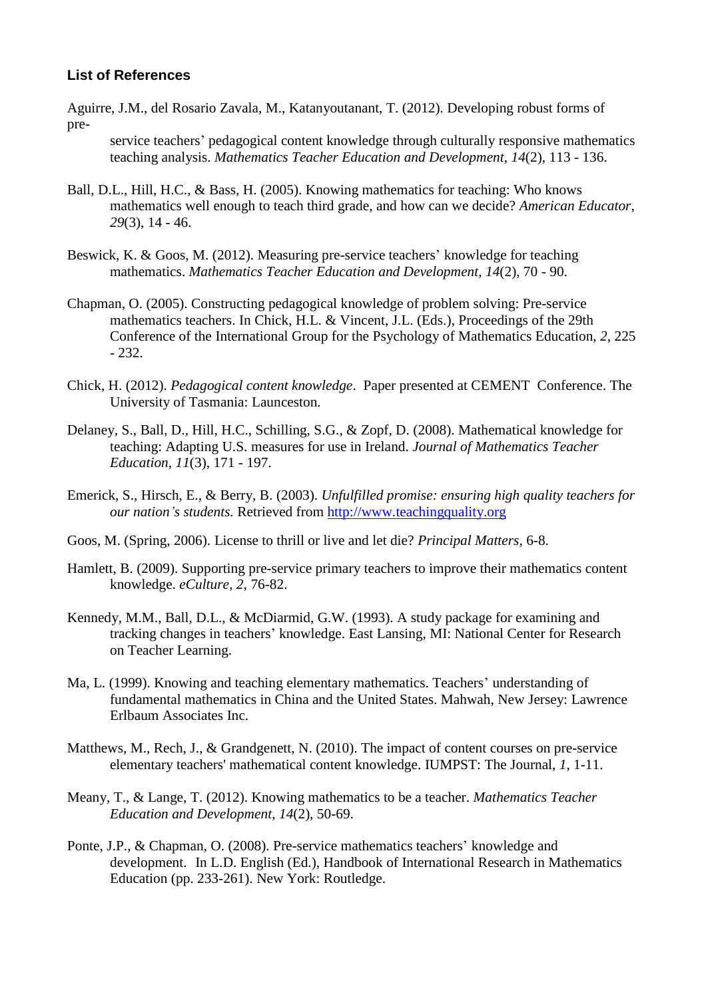# **List of References**

Aguirre, J.M., del Rosario Zavala, M., Katanyoutanant, T. (2012). Developing robust forms of pre-

service teachers' pedagogical content knowledge through culturally responsive mathematics teaching analysis. *Mathematics Teacher Education and Development*, *14*(2), 113 - 136.

- Ball, D.L., Hill, H.C., & Bass, H. (2005). Knowing mathematics for teaching: Who knows mathematics well enough to teach third grade, and how can we decide? *American Educator*, *29*(3), 14 - 46.
- Beswick, K. & Goos, M. (2012). Measuring pre-service teachers' knowledge for teaching mathematics. *Mathematics Teacher Education and Development*, *14*(2), 70 - 90.
- Chapman, O. (2005). Constructing pedagogical knowledge of problem solving: Pre-service mathematics teachers. In Chick, H.L. & Vincent, J.L. (Eds.), Proceedings of the 29th Conference of the International Group for the Psychology of Mathematics Education, *2*, 225 - 232.
- Chick, H. (2012). *Pedagogical content knowledge*. Paper presented at CEMENT Conference. The University of Tasmania: Launceston.
- Delaney, S., Ball, D., Hill, H.C., Schilling, S.G., & Zopf, D. (2008). Mathematical knowledge for teaching: Adapting U.S. measures for use in Ireland. *Journal of Mathematics Teacher Education*, *11*(3), 171 - 197.
- Emerick, S., Hirsch, E., & Berry, B. (2003). *Unfulfilled promise: ensuring high quality teachers for our nation's students.* Retrieved from [http://www.teachingquality.org](http://www.teachingquality.org/)
- Goos, M. (Spring, 2006). License to thrill or live and let die? *Principal Matters,* 6-8.
- Hamlett, B. (2009). Supporting pre-service primary teachers to improve their mathematics content knowledge. *eCulture*, *2*, 76-82.
- Kennedy, M.M., Ball, D.L., & McDiarmid, G.W. (1993). A study package for examining and tracking changes in teachers' knowledge. East Lansing, MI: National Center for Research on Teacher Learning.
- Ma, L. (1999). Knowing and teaching elementary mathematics. Teachers' understanding of fundamental mathematics in China and the United States. Mahwah, New Jersey: Lawrence Erlbaum Associates Inc.
- Matthews, M., Rech, J., & Grandgenett, N. (2010). The impact of content courses on pre-service elementary teachers' mathematical content knowledge. IUMPST: The Journal, *1*, 1-11.
- Meany, T., & Lange, T. (2012). Knowing mathematics to be a teacher. *Mathematics Teacher Education and Development*, *14*(2), 50-69.
- Ponte, J.P., & Chapman, O. (2008). Pre-service mathematics teachers' knowledge and development. In L.D. English (Ed.), Handbook of International Research in Mathematics Education (pp. 233-261). New York: Routledge.